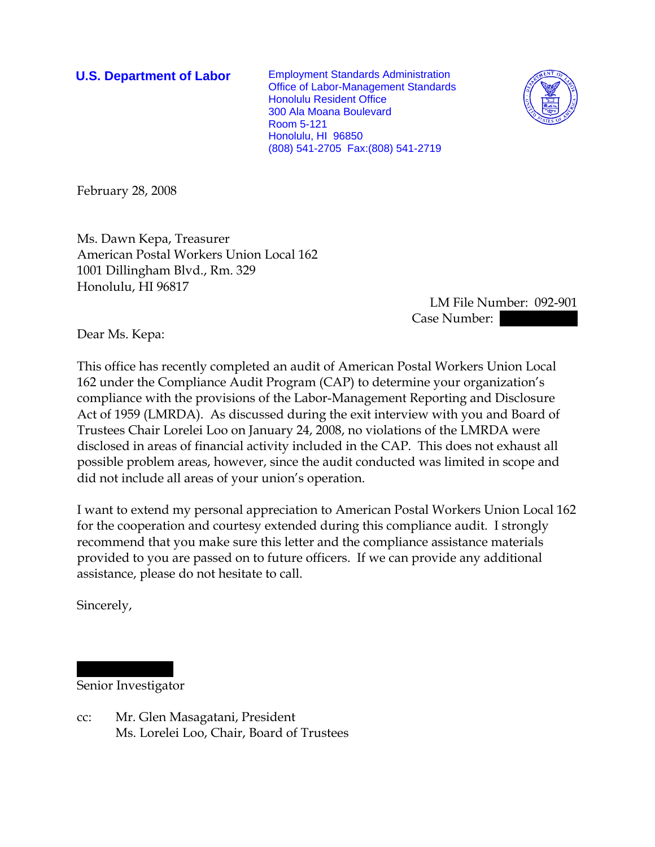**U.S. Department of Labor** Employment Standards Administration Office of Labor-Management Standards Honolulu Resident Office 300 Ala Moana Boulevard Room 5-121 Honolulu, HI 96850 (808) 541-2705 Fax:(808) 541-2719



February 28, 2008

Ms. Dawn Kepa, Treasurer American Postal Workers Union Local 162 1001 Dillingham Blvd., Rm. 329 Honolulu, HI 96817

> LM File Number: 092-901 Case Number:

Dear Ms. Kepa:

This office has recently completed an audit of American Postal Workers Union Local 162 under the Compliance Audit Program (CAP) to determine your organization's compliance with the provisions of the Labor-Management Reporting and Disclosure Act of 1959 (LMRDA). As discussed during the exit interview with you and Board of Trustees Chair Lorelei Loo on January 24, 2008, no violations of the LMRDA were disclosed in areas of financial activity included in the CAP. This does not exhaust all possible problem areas, however, since the audit conducted was limited in scope and did not include all areas of your union's operation.

I want to extend my personal appreciation to American Postal Workers Union Local 162 for the cooperation and courtesy extended during this compliance audit. I strongly recommend that you make sure this letter and the compliance assistance materials provided to you are passed on to future officers. If we can provide any additional assistance, please do not hesitate to call.

Sincerely,

|||| |||||||| Senior Investigator

cc: Mr. Glen Masagatani, President Ms. Lorelei Loo, Chair, Board of Trustees